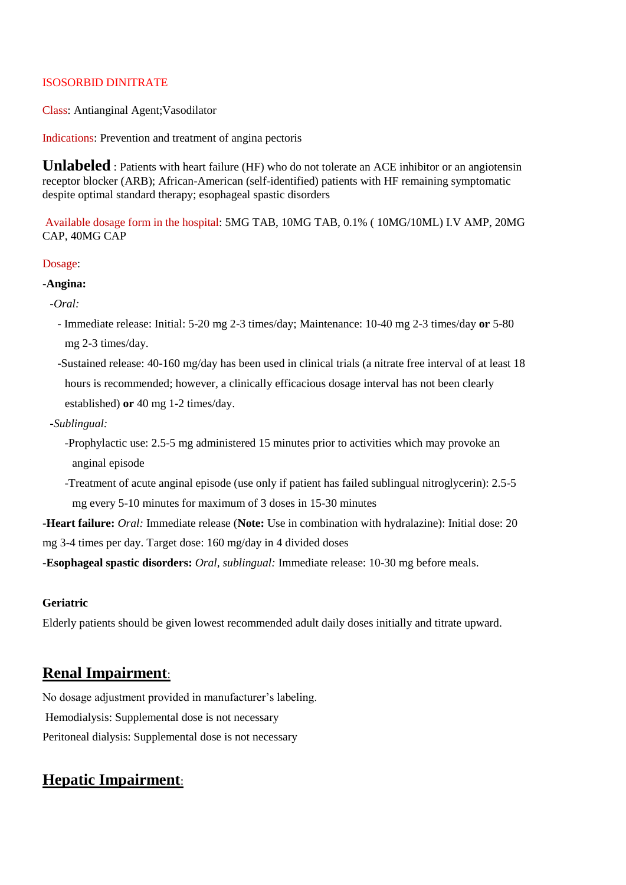### ISOSORBID DINITRATE

Class: Antianginal Agent;Vasodilator

Indications: Prevention and treatment of angina pectoris

**Unlabeled** : Patients with heart failure (HF) who do not tolerate an ACE inhibitor or an angiotensin receptor blocker (ARB); African-American (self-identified) patients with HF remaining symptomatic despite optimal standard therapy; esophageal spastic disorders

Available dosage form in the hospital: 5MG TAB, 10MG TAB, 0.1% ( 10MG/10ML) I.V AMP, 20MG CAP, 40MG CAP

#### Dosage:

#### **-Angina:**

*-Oral:*

- *-* Immediate release: Initial: 5-20 mg 2-3 times/day; Maintenance: 10-40 mg 2-3 times/day **or** 5-80 mg 2-3 times/day.
- -Sustained release: 40-160 mg/day has been used in clinical trials (a nitrate free interval of at least 18 hours is recommended; however, a clinically efficacious dosage interval has not been clearly established) **or** 40 mg 1-2 times/day.
- *-Sublingual:*
	- -Prophylactic use: 2.5-5 mg administered 15 minutes prior to activities which may provoke an anginal episode
	- -Treatment of acute anginal episode (use only if patient has failed sublingual nitroglycerin): 2.5-5 mg every 5-10 minutes for maximum of 3 doses in 15-30 minutes
- **-Heart failure:** *Oral:* Immediate release (**Note:** Use in combination with hydralazine): Initial dose: 20 mg 3-4 times per day. Target dose: 160 mg/day in 4 divided doses

**-Esophageal spastic disorders:** *Oral, sublingual:* Immediate release: 10-30 mg before meals.

#### **Geriatric**

Elderly patients should be given lowest recommended adult daily doses initially and titrate upward.

## **Renal Impairment**:

No dosage adjustment provided in manufacturer's labeling. Hemodialysis: Supplemental dose is not necessary Peritoneal dialysis: Supplemental dose is not necessary

# **Hepatic Impairment**: